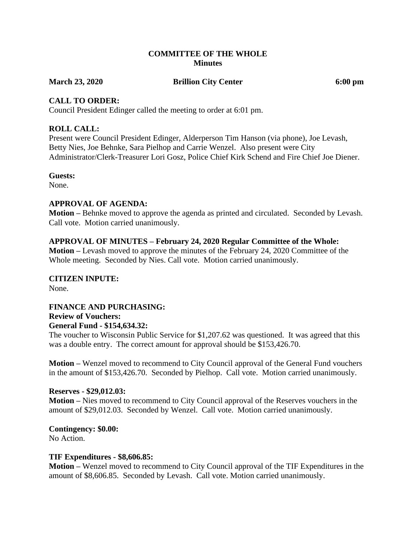#### **COMMITTEE OF THE WHOLE Minutes**

**March 23, 2020 Brillion City Center 6:00 pm**

#### **CALL TO ORDER:**

Council President Edinger called the meeting to order at 6:01 pm.

#### **ROLL CALL:**

Present were Council President Edinger, Alderperson Tim Hanson (via phone), Joe Levash, Betty Nies, Joe Behnke, Sara Pielhop and Carrie Wenzel. Also present were City Administrator/Clerk-Treasurer Lori Gosz, Police Chief Kirk Schend and Fire Chief Joe Diener.

#### **Guests:**

None.

#### **APPROVAL OF AGENDA:**

**Motion –** Behnke moved to approve the agenda as printed and circulated. Seconded by Levash. Call vote. Motion carried unanimously.

#### **APPROVAL OF MINUTES – February 24, 2020 Regular Committee of the Whole:**

**Motion –** Levash moved to approve the minutes of the February 24, 2020 Committee of the Whole meeting. Seconded by Nies. Call vote. Motion carried unanimously.

# **CITIZEN INPUTE:**

None.

# **FINANCE AND PURCHASING: Review of Vouchers:**

**General Fund - \$154,634.32:**

The voucher to Wisconsin Public Service for \$1,207.62 was questioned. It was agreed that this was a double entry. The correct amount for approval should be \$153,426.70.

**Motion –** Wenzel moved to recommend to City Council approval of the General Fund vouchers in the amount of \$153,426.70. Seconded by Pielhop. Call vote. Motion carried unanimously.

#### **Reserves - \$29,012.03:**

**Motion –** Nies moved to recommend to City Council approval of the Reserves vouchers in the amount of \$29,012.03. Seconded by Wenzel. Call vote. Motion carried unanimously.

# **Contingency: \$0.00:**

No Action.

#### **TIF Expenditures - \$8,606.85:**

**Motion –** Wenzel moved to recommend to City Council approval of the TIF Expenditures in the amount of \$8,606.85. Seconded by Levash. Call vote. Motion carried unanimously.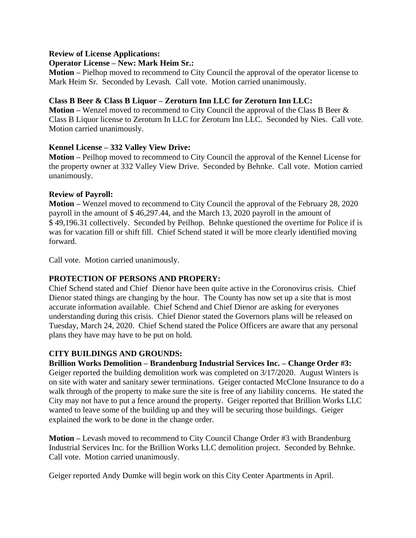#### **Review of License Applications:**

#### **Operator License – New: Mark Heim Sr.:**

**Motion –** Pielhop moved to recommend to City Council the approval of the operator license to Mark Heim Sr. Seconded by Levash. Call vote. Motion carried unanimously.

#### **Class B Beer & Class B Liquor – Zeroturn Inn LLC for Zeroturn Inn LLC:**

**Motion –** Wenzel moved to recommend to City Council the approval of the Class B Beer & Class B Liquor license to Zeroturn In LLC for Zeroturn Inn LLC. Seconded by Nies. Call vote. Motion carried unanimously.

### **Kennel License – 332 Valley View Drive:**

**Motion –** Peilhop moved to recommend to City Council the approval of the Kennel License for the property owner at 332 Valley View Drive.Seconded by Behnke. Call vote. Motion carried unanimously.

#### **Review of Payroll:**

**Motion –** Wenzel moved to recommend to City Council the approval of the February 28, 2020 payroll in the amount of \$ 46,297.44, and the March 13, 2020 payroll in the amount of \$ 49,196.31 collectively. Seconded by Peilhop. Behnke questioned the overtime for Police if is was for vacation fill or shift fill. Chief Schend stated it will be more clearly identified moving forward.

Call vote. Motion carried unanimously.

### **PROTECTION OF PERSONS AND PROPERY:**

Chief Schend stated and Chief Dienor have been quite active in the Coronovirus crisis. Chief Dienor stated things are changing by the hour. The County has now set up a site that is most accurate information available. Chief Schend and Chief Dienor are asking for everyones understanding during this crisis. Chief Dienor stated the Governors plans will be released on Tuesday, March 24, 2020. Chief Schend stated the Police Officers are aware that any personal plans they have may have to be put on hold.

### **CITY BUILDINGS AND GROUNDS:**

**Brillion Works Demolition – Brandenburg Industrial Services Inc. – Change Order #3:** Geiger reported the building demolition work was completed on 3/17/2020. August Winters is on site with water and sanitary sewer terminations. Geiger contacted McClone Insurance to do a walk through of the property to make sure the site is free of any liability concerns. He stated the City may not have to put a fence around the property. Geiger reported that Brillion Works LLC wanted to leave some of the building up and they will be securing those buildings. Geiger explained the work to be done in the change order.

**Motion –** Levash moved to recommend to City Council Change Order #3 with Brandenburg Industrial Services Inc. for the Brillion Works LLC demolition project. Seconded by Behnke. Call vote. Motion carried unanimously.

Geiger reported Andy Dumke will begin work on this City Center Apartments in April.